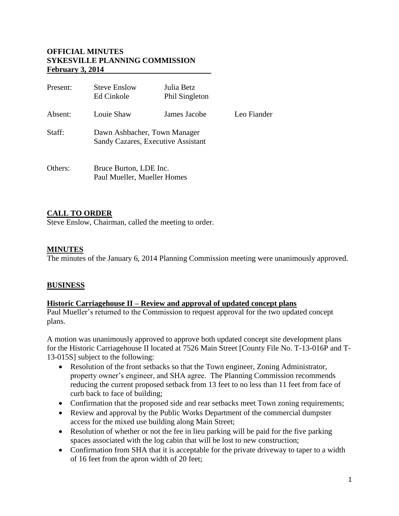## **OFFICIAL MINUTES SYKESVILLE PLANNING COMMISSION February 3, 2014**

| Present: | <b>Steve Enslow</b><br>Ed Cinkole                                  | Julia Betz<br><b>Phil Singleton</b> |             |
|----------|--------------------------------------------------------------------|-------------------------------------|-------------|
| Absent:  | Louie Shaw                                                         | James Jacobe                        | Leo Fiander |
| Staff:   | Dawn Ashbacher, Town Manager<br>Sandy Cazares, Executive Assistant |                                     |             |
| Others:  | Bruce Burton, LDE Inc.<br>Paul Mueller, Mueller Homes              |                                     |             |

## **CALL TO ORDER**

Steve Enslow, Chairman, called the meeting to order.

### **MINUTES**

The minutes of the January 6, 2014 Planning Commission meeting were unanimously approved.

### **BUSINESS**

#### **Historic Carriagehouse II – Review and approval of updated concept plans**

Paul Mueller's returned to the Commission to request approval for the two updated concept plans.

A motion was unanimously approved to approve both updated concept site development plans for the Historic Carriagehouse II located at 7526 Main Street [County File No. T-13-016P and T-13-015S] subject to the following:

- Resolution of the front setbacks so that the Town engineer, Zoning Administrator, property owner's engineer, and SHA agree. The Planning Commission recommends reducing the current proposed setback from 13 feet to no less than 11 feet from face of curb back to face of building;
- Confirmation that the proposed side and rear setbacks meet Town zoning requirements;
- Review and approval by the Public Works Department of the commercial dumpster access for the mixed use building along Main Street;
- Resolution of whether or not the fee in lieu parking will be paid for the five parking spaces associated with the log cabin that will be lost to new construction;
- Confirmation from SHA that it is acceptable for the private driveway to taper to a width of 16 feet from the apron width of 20 feet;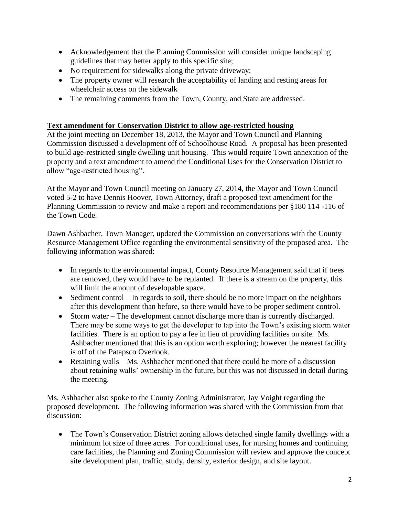- Acknowledgement that the Planning Commission will consider unique landscaping guidelines that may better apply to this specific site;
- No requirement for sidewalks along the private driveway;
- The property owner will research the acceptability of landing and resting areas for wheelchair access on the sidewalk
- The remaining comments from the Town, County, and State are addressed.

# **Text amendment for Conservation District to allow age-restricted housing**

At the joint meeting on December 18, 2013, the Mayor and Town Council and Planning Commission discussed a development off of Schoolhouse Road. A proposal has been presented to build age-restricted single dwelling unit housing. This would require Town annexation of the property and a text amendment to amend the Conditional Uses for the Conservation District to allow "age-restricted housing".

At the Mayor and Town Council meeting on January 27, 2014, the Mayor and Town Council voted 5-2 to have Dennis Hoover, Town Attorney, draft a proposed text amendment for the Planning Commission to review and make a report and recommendations per §180 114 -116 of the Town Code.

Dawn Ashbacher, Town Manager, updated the Commission on conversations with the County Resource Management Office regarding the environmental sensitivity of the proposed area. The following information was shared:

- In regards to the environmental impact, County Resource Management said that if trees are removed, they would have to be replanted. If there is a stream on the property, this will limit the amount of developable space.
- $\bullet$  Sediment control In regards to soil, there should be no more impact on the neighbors after this development than before, so there would have to be proper sediment control.
- Storm water The development cannot discharge more than is currently discharged. There may be some ways to get the developer to tap into the Town's existing storm water facilities. There is an option to pay a fee in lieu of providing facilities on site. Ms. Ashbacher mentioned that this is an option worth exploring; however the nearest facility is off of the Patapsco Overlook.
- Retaining walls Ms. Ashbacher mentioned that there could be more of a discussion about retaining walls' ownership in the future, but this was not discussed in detail during the meeting.

Ms. Ashbacher also spoke to the County Zoning Administrator, Jay Voight regarding the proposed development. The following information was shared with the Commission from that discussion:

• The Town's Conservation District zoning allows detached single family dwellings with a minimum lot size of three acres. For conditional uses, for nursing homes and continuing care facilities, the Planning and Zoning Commission will review and approve the concept site development plan, traffic, study, density, exterior design, and site layout.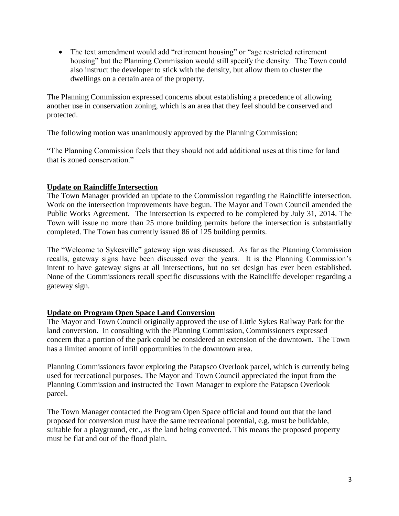• The text amendment would add "retirement housing" or "age restricted retirement housing" but the Planning Commission would still specify the density. The Town could also instruct the developer to stick with the density, but allow them to cluster the dwellings on a certain area of the property.

The Planning Commission expressed concerns about establishing a precedence of allowing another use in conservation zoning, which is an area that they feel should be conserved and protected.

The following motion was unanimously approved by the Planning Commission:

"The Planning Commission feels that they should not add additional uses at this time for land that is zoned conservation."

## **Update on Raincliffe Intersection**

The Town Manager provided an update to the Commission regarding the Raincliffe intersection. Work on the intersection improvements have begun. The Mayor and Town Council amended the Public Works Agreement. The intersection is expected to be completed by July 31, 2014. The Town will issue no more than 25 more building permits before the intersection is substantially completed. The Town has currently issued 86 of 125 building permits.

The "Welcome to Sykesville" gateway sign was discussed. As far as the Planning Commission recalls, gateway signs have been discussed over the years. It is the Planning Commission's intent to have gateway signs at all intersections, but no set design has ever been established. None of the Commissioners recall specific discussions with the Raincliffe developer regarding a gateway sign.

# **Update on Program Open Space Land Conversion**

The Mayor and Town Council originally approved the use of Little Sykes Railway Park for the land conversion. In consulting with the Planning Commission, Commissioners expressed concern that a portion of the park could be considered an extension of the downtown. The Town has a limited amount of infill opportunities in the downtown area.

Planning Commissioners favor exploring the Patapsco Overlook parcel, which is currently being used for recreational purposes. The Mayor and Town Council appreciated the input from the Planning Commission and instructed the Town Manager to explore the Patapsco Overlook parcel.

The Town Manager contacted the Program Open Space official and found out that the land proposed for conversion must have the same recreational potential, e.g. must be buildable, suitable for a playground, etc., as the land being converted. This means the proposed property must be flat and out of the flood plain.